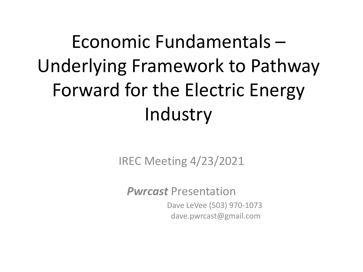## Economic Fundamentals – Underlying Framework to Pathway Forward for the Electric Energy Industry

IREC Meeting 4/23/2021

*Pwrcast* Presentation

Dave LeVee (503) 970-1073 dave.pwrcast@gmail.com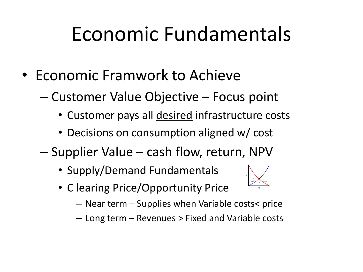## Economic Fundamentals

- Economic Framwork to Achieve
	- Customer Value Objective Focus point
		- Customer pays all desired infrastructure costs
		- Decisions on consumption aligned w/ cost
	- Supplier Value cash flow, return, NPV
		- Supply/Demand Fundamentals
		- C learing Price/Opportunity Price
- 
- Near term Supplies when Variable costs< price
- Long term Revenues > Fixed and Variable costs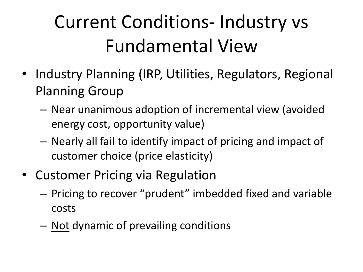## Current Conditions- Industry vs Fundamental View

- Industry Planning (IRP, Utilities, Regulators, Regional Planning Group
	- Near unanimous adoption of incremental view (avoided energy cost, opportunity value)
	- Nearly all fail to identify impact of pricing and impact of customer choice (price elasticity)
- Customer Pricing via Regulation
	- Pricing to recover "prudent" imbedded fixed and variable costs
	- Not dynamic of prevailing conditions